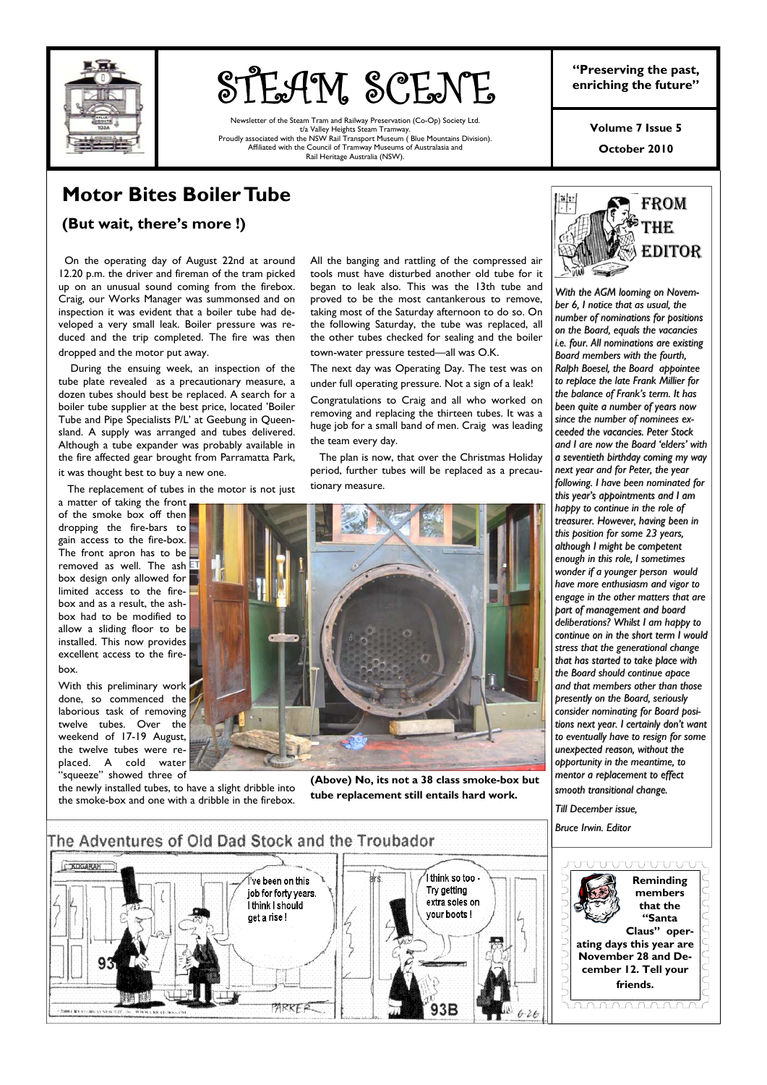

# **STEAM SCENE** Preserving the past,

Newsletter of the Steam Tram and Railway Preservation (Co-Op) Society Ltd. t/a Valley Heights Steam Tramway. Proudly associated with the NSW Rail Transport Museum ( Blue Mountains Division). Affiliated with the Council of Tramway Museums of Australasia and Rail Heritage Australia (NSW).

**"Preserving the past,** 

**Volume 7 Issue 5** 

**October 2010** 

# **Motor Bites Boiler Tube**

**(But wait, there's more !)** 

 On the operating day of August 22nd at around 12.20 p.m. the driver and fireman of the tram picked up on an unusual sound coming from the firebox. Craig, our Works Manager was summonsed and on inspection it was evident that a boiler tube had developed a very small leak. Boiler pressure was reduced and the trip completed. The fire was then dropped and the motor put away.

 During the ensuing week, an inspection of the tube plate revealed as a precautionary measure, a dozen tubes should best be replaced. A search for a boiler tube supplier at the best price, located 'Boiler Tube and Pipe Specialists P/L' at Geebung in Queensland. A supply was arranged and tubes delivered. Although a tube expander was probably available in the fire affected gear brought from Parramatta Park, it was thought best to buy a new one.

The replacement of tubes in the motor is not just

a matter of taking the front of the smoke box off then dropping the fire-bars to gain access to the fire-box. The front apron has to be  $\Box$ removed as well. The ash  $E1$ box design only allowed for limited access to the firebox and as a result, the ashbox had to be modified to allow a sliding floor to be installed. This now provides excellent access to the firebox.

With this preliminary work done, so commenced the laborious task of removing twelve tubes. Over the weekend of 17-19 August, the twelve tubes were replaced. A cold water .<br>"saueeze" showed three of

the newly installed tubes, to have a slight dribble into the smoke-box and one with a dribble in the firebox.

All the banging and rattling of the compressed air tools must have disturbed another old tube for it began to leak also. This was the 13th tube and proved to be the most cantankerous to remove, taking most of the Saturday afternoon to do so. On the following Saturday, the tube was replaced, all the other tubes checked for sealing and the boiler town-water pressure tested—all was O.K.

The next day was Operating Day. The test was on under full operating pressure. Not a sign of a leak!

Congratulations to Craig and all who worked on removing and replacing the thirteen tubes. It was a huge job for a small band of men. Craig was leading the team every day.

 The plan is now, that over the Christmas Holiday period, further tubes will be replaced as a precautionary measure.



**(Above) No, its not a 38 class smoke-box but tube replacement still entails hard work.** 



*With the AGM looming on Novem- AGM looming on With the AGM looming on November 6, I notice that as usual, the ber 6, I notice that as usual, the number of nominations for positions number of nominations for positions on the Board, equals the vacancies on the Board, equals the vacancies i.e. four. All nominations are existing i.e. four. All nominations are existing Board members with the fourth, Board members with the fourth, Ralph Boesel, the Board appointee to replace the late Frank Millier for to replace the late Frank Millier for*  the balance of Frank's term. It has *been quite a number of years now been quite a number of years now*  since the number of nominees ex*ceeded the ceeded the vacancies. Peter Stock vacancies. Peter Stock and I are now the Board 'elders' with and I are now the Board 'elders' with a seventieth birthday coming my way a seventieth birthday coming my way next year and for Peter, the year following. I have been nominated for following. I have been nominated for this year's appointments and I am this year's appointments and I am happy to continue in the role of happy to continue in the role of treasurer. However, having been in treasurer. However, having been in this position for some 23 years, although I might be competent although I might be competent enough in this role, I sometimes enough in this role, I sometimes wonder if a younger person would wonder if a younger person would have more enthusiasm and vigor to have more enthusiasm and vigor to engage in the other matters that are engage in the other matters that are part of management and board part of management and board deliberations? Whilst I am happy to deliberations? Whilst I am happy to continue on in the short term I would continue on in the short term I would stress that the generational change stress that the generational change that has started to take place with that has started to take place with the Board should continue apace the Board should continue apace and that members other than those and that members other than those presently on the Board, seriously consider nominating for Board posi- consider nominating for Board posi-nominating for Board positions next year. I certainly don't want tions next year. I certainly don't want to eventually have to to eventually have to resign for some resign for some*  unexpected reason, without the *opportunity in the meantime, to opportunity in the meantime, to mentor a replacement to effect mentor a replacement to effect smooth transitional change. smooth transitional change.* 

*Till December issue, Till December Till December issue,*

*Bruce Irwin. Editor Bruce Irwin. Editor*

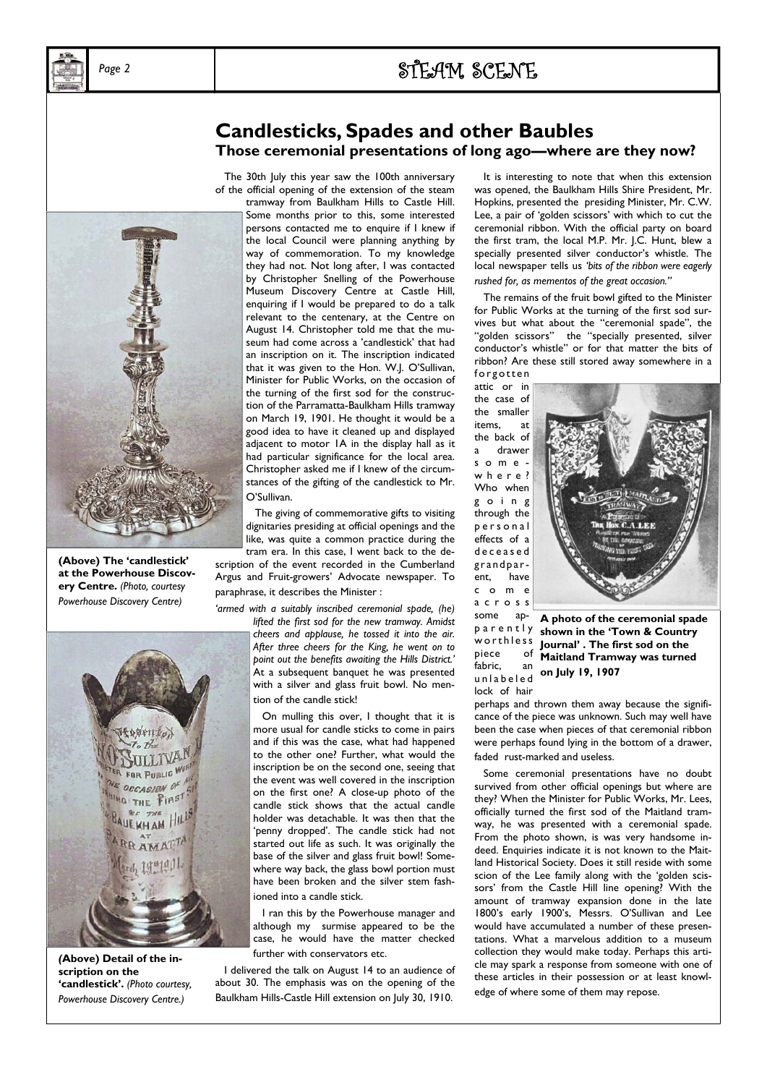

# Page 2 **1 2 2 2 2 2 2 3 3 3 4 4 5 4 5 4 7 4 7 4 5 6 7 6 7 7 8 7 7 8 7 7 8 7 7 8 7 7 8 7 7 8 7 7 8 7 7 8 7 7 8 7 8 7 7 8 7 7 8 7 7 8 7 7 8 7 7 8 7 7 8 7 7 8 7 7 8 7 7 8 7 7 8 7 7 8 7 8 7 7 8 7 8 7 7 8 7 8 7 7 8 7 8 7 8 7 8**

# **Candlesticks, Spades and other Baubles Those ceremonial presentations of long ago—where are they now?**

 The 30th July this year saw the 100th anniversary of the official opening of the extension of the steam

tramway from Baulkham Hills to Castle Hill. Some months prior to this, some interested persons contacted me to enquire if I knew if the local Council were planning anything by way of commemoration. To my knowledge they had not. Not long after, I was contacted by Christopher Snelling of the Powerhouse Museum Discovery Centre at Castle Hill, enquiring if I would be prepared to do a talk relevant to the centenary, at the Centre on August 14. Christopher told me that the museum had come across a 'candlestick' that had an inscription on it. The inscription indicated that it was given to the Hon. W.J. O'Sullivan, Minister for Public Works, on the occasion of the turning of the first sod for the construction of the Parramatta-Baulkham Hills tramway on March 19, 1901. He thought it would be a good idea to have it cleaned up and displayed adjacent to motor 1A in the display hall as it had particular significance for the local area. Christopher asked me if I knew of the circumstances of the gifting of the candlestick to Mr. O'Sullivan.

 The giving of commemorative gifts to visiting dignitaries presiding at official openings and the like, was quite a common practice during the tram era. In this case, I went back to the de-

scription of the event recorded in the Cumberland Argus and Fruit-growers' Advocate newspaper. To paraphrase, it describes the Minister :

*'armed with a suitably inscribed ceremonial spade, (he) lifted the first sod for the new tramway. Amidst cheers and applause, he tossed it into the air. After three cheers for the King, he went on to point out the benefits awaiting the Hills District.'*  At a subsequent banquet he was presented with a silver and glass fruit bowl. No mention of the candle stick!

> On mulling this over, I thought that it is more usual for candle sticks to come in pairs and if this was the case, what had happened to the other one? Further, what would the inscription be on the second one, seeing that the event was well covered in the inscription on the first one? A close-up photo of the candle stick shows that the actual candle holder was detachable. It was then that the 'penny dropped'. The candle stick had not started out life as such. It was originally the base of the silver and glass fruit bowl! Somewhere way back, the glass bowl portion must have been broken and the silver stem fashioned into a candle stick.

> I ran this by the Powerhouse manager and although my surmise appeared to be the case, he would have the matter checked further with conservators etc.

 I delivered the talk on August 14 to an audience of about 30. The emphasis was on the opening of the Baulkham Hills-Castle Hill extension on July 30, 1910.

 It is interesting to note that when this extension was opened, the Baulkham Hills Shire President, Mr. Hopkins, presented the presiding Minister, Mr. C.W. Lee, a pair of 'golden scissors' with which to cut the ceremonial ribbon. With the official party on board the first tram, the local M.P. Mr. J.C. Hunt, blew a specially presented silver conductor's whistle. The local newspaper tells us *'bits of the ribbon were eagerly rushed for, as mementos of the great occasion."* 

The remains of the fruit bowl gifted to the Minister for Public Works at the turning of the first sod survives but what about the "ceremonial spade", the "golden scissors" the "specially presented, silver conductor's whistle" or for that matter the bits of ribbon? Are these still stored away somewhere in a

forgotten attic or in the case of the smaller items, at the back of a drawer somew h e r e ? Who when g o i n g through the p e r s o n a l effects of a d e c e a s e d grandparent, have c o m e a c r o s s some

piece

lock of hair



p a r e n t l y **shown in the 'Town & Country**  w or th less fabric, an abit, and **on July 19, 1907 A photo of the ceremonial spade Journal' . The first sod on the Maitland Tramway was turned** 

perhaps and thrown them away because the significance of the piece was unknown. Such may well have been the case when pieces of that ceremonial ribbon were perhaps found lying in the bottom of a drawer, faded rust-marked and useless.

 Some ceremonial presentations have no doubt survived from other official openings but where are they? When the Minister for Public Works, Mr. Lees, officially turned the first sod of the Maitland tramway, he was presented with a ceremonial spade. From the photo shown, is was very handsome indeed. Enquiries indicate it is not known to the Maitland Historical Society. Does it still reside with some scion of the Lee family along with the 'golden scissors' from the Castle Hill line opening? With the amount of tramway expansion done in the late 1800's early 1900's, Messrs. O'Sullivan and Lee would have accumulated a number of these presentations. What a marvelous addition to a museum collection they would make today. Perhaps this article may spark a response from someone with one of these articles in their possession or at least knowledge of where some of them may repose.



**(Above) The 'candlestick' at the Powerhouse Discovery Centre.** *(Photo, courtesy Powerhouse Discovery Centre)* 



*(***Above) Detail of the inscription on the 'candlestick'.** *(Photo courtesy, Powerhouse Discovery Centre.)*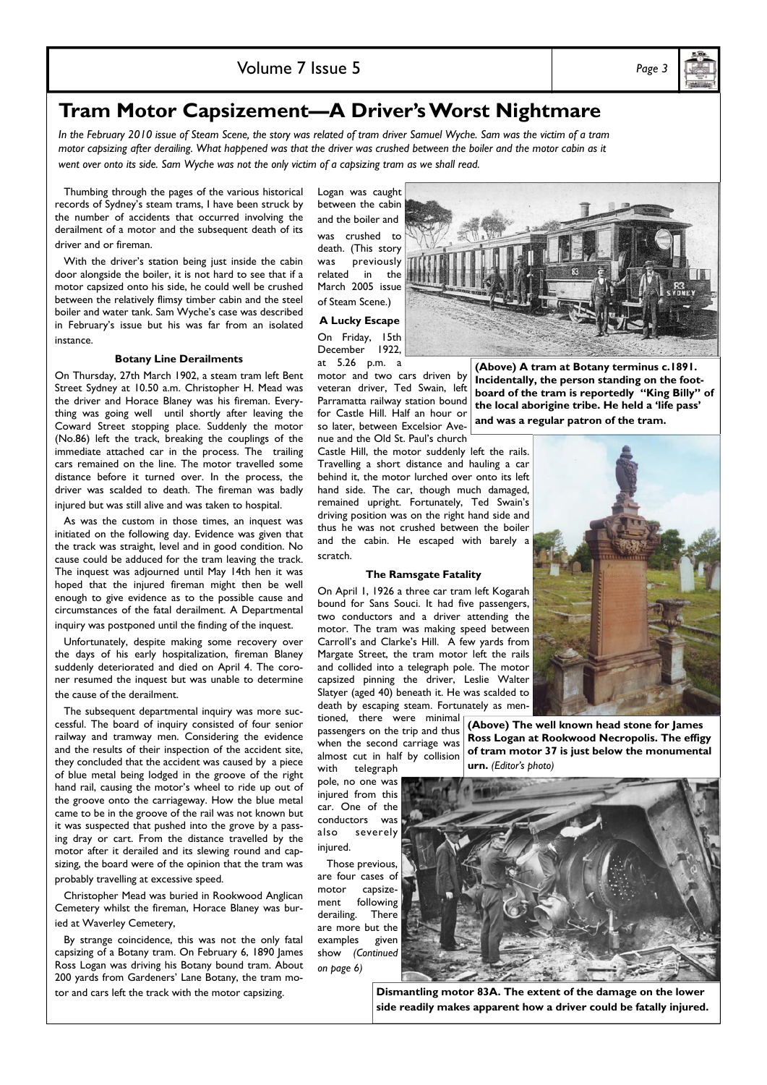# **Tram Motor Capsizement—A Driver's Worst Nightmare**

*In the February 2010 issue of Steam Scene, the story was related of tram driver Samuel Wyche. Sam was the victim of a tram motor capsizing after derailing. What happened was that the driver was crushed between the boiler and the motor cabin as it went over onto its side. Sam Wyche was not the only victim of a capsizing tram as we shall read.* 

 Thumbing through the pages of the various historical records of Sydney's steam trams, I have been struck by the number of accidents that occurred involving the derailment of a motor and the subsequent death of its driver and or fireman.

 With the driver's station being just inside the cabin door alongside the boiler, it is not hard to see that if a motor capsized onto his side, he could well be crushed between the relatively flimsy timber cabin and the steel boiler and water tank. Sam Wyche's case was described in February's issue but his was far from an isolated instance.

# **Botany Line Derailments**

On Thursday, 27th March 1902, a steam tram left Bent Street Sydney at 10.50 a.m. Christopher H. Mead was the driver and Horace Blaney was his fireman. Everything was going well until shortly after leaving the Coward Street stopping place. Suddenly the motor (No.86) left the track, breaking the couplings of the immediate attached car in the process. The trailing cars remained on the line. The motor travelled some distance before it turned over. In the process, the driver was scalded to death. The fireman was badly injured but was still alive and was taken to hospital.

 As was the custom in those times, an inquest was initiated on the following day. Evidence was given that the track was straight, level and in good condition. No cause could be adduced for the tram leaving the track. The inquest was adjourned until May 14th hen it was hoped that the injured fireman might then be well enough to give evidence as to the possible cause and circumstances of the fatal derailment. A Departmental inquiry was postponed until the finding of the inquest.

 Unfortunately, despite making some recovery over the days of his early hospitalization, fireman Blaney suddenly deteriorated and died on April 4. The coroner resumed the inquest but was unable to determine the cause of the derailment.

 The subsequent departmental inquiry was more successful. The board of inquiry consisted of four senior railway and tramway men. Considering the evidence and the results of their inspection of the accident site, they concluded that the accident was caused by a piece of blue metal being lodged in the groove of the right hand rail, causing the motor's wheel to ride up out of the groove onto the carriageway. How the blue metal came to be in the groove of the rail was not known but it was suspected that pushed into the grove by a passing dray or cart. From the distance travelled by the motor after it derailed and its slewing round and capsizing, the board were of the opinion that the tram was probably travelling at excessive speed.

 Christopher Mead was buried in Rookwood Anglican Cemetery whilst the fireman, Horace Blaney was buried at Waverley Cemetery,

 By strange coincidence, this was not the only fatal capsizing of a Botany tram. On February 6, 1890 James Ross Logan was driving his Botany bound tram. About 200 yards from Gardeners' Lane Botany, the tram motor and cars left the track with the motor capsizing.

Logan was caught between the cabin and the boiler and was crushed to death. (This story was previously related in the March 2005 issue of Steam Scene.) **A Lucky Escape**  On Friday, 15th December 1922, at 5.26 p.m. a

veteran driver, Ted Swain, left Parramatta railway station bound for Castle Hill. Half an hour or so later, between Excelsior Ave-**(Above) A tram at Botany terminus c.1891. Incidentally, the person standing on the footboard of the tram is reportedly "King Billy" of the local aborigine tribe. He held a 'life pass' and was a regular patron of the tram.** 

nue and the Old St. Paul's church Castle Hill, the motor suddenly left the rails. Travelling a short distance and hauling a car behind it, the motor lurched over onto its left hand side. The car, though much damaged, remained upright. Fortunately, Ted Swain's driving position was on the right hand side and thus he was not crushed between the boiler and the cabin. He escaped with barely a scratch.

motor and two cars driven by

#### **The Ramsgate Fatality**

On April 1, 1926 a three car tram left Kogarah bound for Sans Souci. It had five passengers, two conductors and a driver attending the motor. The tram was making speed between Carroll's and Clarke's Hill. A few yards from Margate Street, the tram motor left the rails and collided into a telegraph pole. The motor capsized pinning the driver, Leslie Walter Slatyer (aged 40) beneath it. He was scalded to death by escaping steam. Fortunately as men-

tioned, there were minimal passengers on the trip and thus when the second carriage was almost cut in half by collision

with telegraph pole, no one was injured from this car. One of the conductors was<br>also severely severely injured.

 Those previous, are four cases of motor capsizement following derailing. There are more but the examples given show *(Continued on page 6)*

**(Above) The well known head stone for James Ross Logan at Rookwood Necropolis. The effigy of tram motor 37 is just below the monumental urn.** *(Editor's photo)* 

**Dismantling motor 83A. The extent of the damage on the lower** 

**side readily makes apparent how a driver could be fatally injured.** 



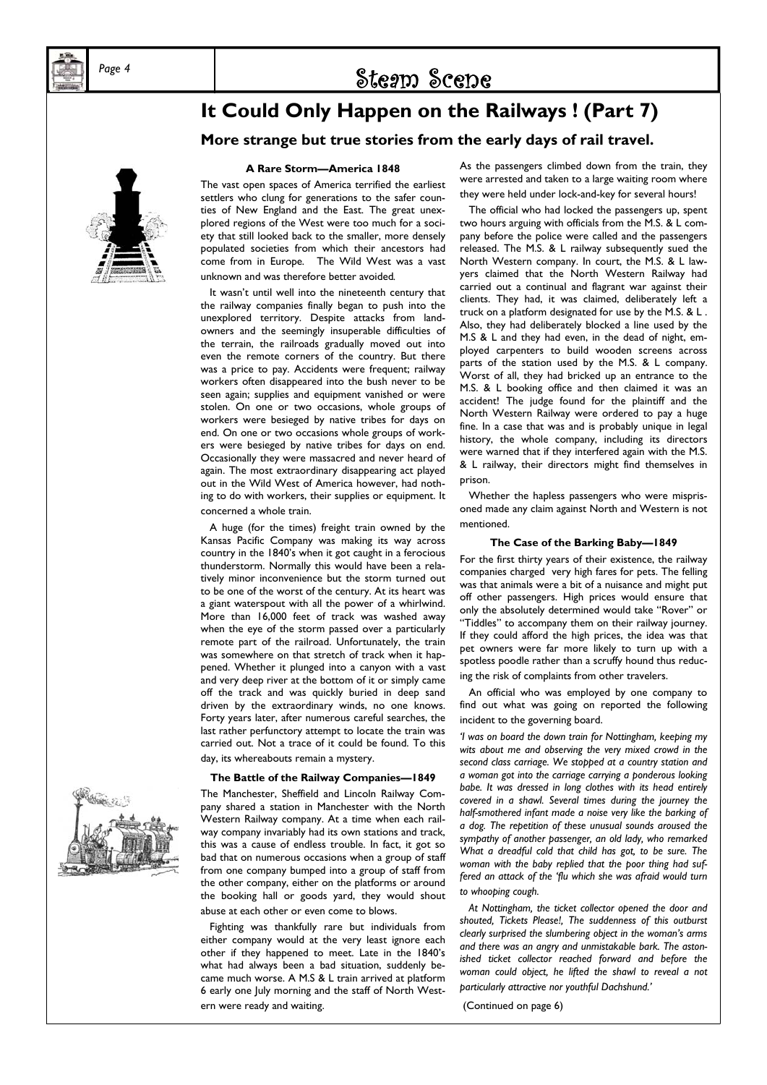# Page 4 **by Scene** Steam Scene

# **It Could Only Happen on the Railways ! (Part 7) More strange but true stories from the early days of rail travel.**



# **A Rare Storm—America 1848**

The vast open spaces of America terrified the earliest settlers who clung for generations to the safer counties of New England and the East. The great unexplored regions of the West were too much for a society that still looked back to the smaller, more densely populated societies from which their ancestors had come from in Europe*.* The Wild West was a vast unknown and was therefore better avoided*.* 

It wasn't until well into the nineteenth century that the railway companies finally began to push into the unexplored territory. Despite attacks from landowners and the seemingly insuperable difficulties of the terrain, the railroads gradually moved out into even the remote corners of the country. But there was a price to pay. Accidents were frequent; railway workers often disappeared into the bush never to be seen again; supplies and equipment vanished or were stolen. On one or two occasions, whole groups of workers were besieged by native tribes for days on end. On one or two occasions whole groups of workers were besieged by native tribes for days on end. Occasionally they were massacred and never heard of again. The most extraordinary disappearing act played out in the Wild West of America however, had nothing to do with workers, their supplies or equipment. It concerned a whole train.

 A huge (for the times) freight train owned by the Kansas Pacific Company was making its way across country in the 1840's when it got caught in a ferocious thunderstorm. Normally this would have been a relatively minor inconvenience but the storm turned out to be one of the worst of the century. At its heart was a giant waterspout with all the power of a whirlwind. More than 16,000 feet of track was washed away when the eye of the storm passed over a particularly remote part of the railroad. Unfortunately, the train was somewhere on that stretch of track when it happened. Whether it plunged into a canyon with a vast and very deep river at the bottom of it or simply came off the track and was quickly buried in deep sand driven by the extraordinary winds, no one knows. Forty years later, after numerous careful searches, the last rather perfunctory attempt to locate the train was carried out. Not a trace of it could be found. To this day, its whereabouts remain a mystery.

### **The Battle of the Railway Companies—1849**

The Manchester, Sheffield and Lincoln Railway Company shared a station in Manchester with the North Western Railway company. At a time when each railway company invariably had its own stations and track, this was a cause of endless trouble. In fact, it got so bad that on numerous occasions when a group of staff from one company bumped into a group of staff from the other company, either on the platforms or around the booking hall or goods yard, they would shout abuse at each other or even come to blows.

 Fighting was thankfully rare but individuals from either company would at the very least ignore each other if they happened to meet. Late in the 1840's what had always been a bad situation, suddenly became much worse. A M.S & L train arrived at platform 6 early one July morning and the staff of North Western were ready and waiting.

As the passengers climbed down from the train, they were arrested and taken to a large waiting room where they were held under lock-and-key for several hours!

 The official who had locked the passengers up, spent two hours arguing with officials from the M.S. & L company before the police were called and the passengers released. The M.S. & L railway subsequently sued the North Western company. In court, the M.S. & L lawyers claimed that the North Western Railway had carried out a continual and flagrant war against their clients. They had, it was claimed, deliberately left a truck on a platform designated for use by the M.S. & L . Also, they had deliberately blocked a line used by the M.S & L and they had even, in the dead of night, employed carpenters to build wooden screens across parts of the station used by the M.S. & L company. Worst of all, they had bricked up an entrance to the M.S. & L booking office and then claimed it was an accident! The judge found for the plaintiff and the North Western Railway were ordered to pay a huge fine. In a case that was and is probably unique in legal history, the whole company, including its directors were warned that if they interfered again with the M.S. & L railway, their directors might find themselves in prison.

 Whether the hapless passengers who were misprisoned made any claim against North and Western is not mentioned.

### **The Case of the Barking Baby—1849**

For the first thirty years of their existence, the railway companies charged very high fares for pets. The felling was that animals were a bit of a nuisance and might put off other passengers. High prices would ensure that only the absolutely determined would take "Rover" or "Tiddles" to accompany them on their railway journey. If they could afford the high prices, the idea was that pet owners were far more likely to turn up with a spotless poodle rather than a scruffy hound thus reducing the risk of complaints from other travelers.

 An official who was employed by one company to find out what was going on reported the following incident to the governing board.

*'I was on board the down train for Nottingham, keeping my wits about me and observing the very mixed crowd in the second class carriage. We stopped at a country station and a woman got into the carriage carrying a ponderous looking babe. It was dressed in long clothes with its head entirely covered in a shawl. Several times during the journey the half-smothered infant made a noise very like the barking of a dog. The repetition of these unusual sounds aroused the sympathy of another passenger, an old lady, who remarked What a dreadful cold that child has got, to be sure. The woman with the baby replied that the poor thing had suffered an attack of the 'flu which she was afraid would turn to whooping cough.* 

 *At Nottingham, the ticket collector opened the door and shouted, Tickets Please!, The suddenness of this outburst clearly surprised the slumbering object in the woman's arms and there was an angry and unmistakable bark. The astonished ticket collector reached forward and before the woman could object, he lifted the shawl to reveal a not particularly attractive nor youthful Dachshund.'* 

(Continued on page 6)

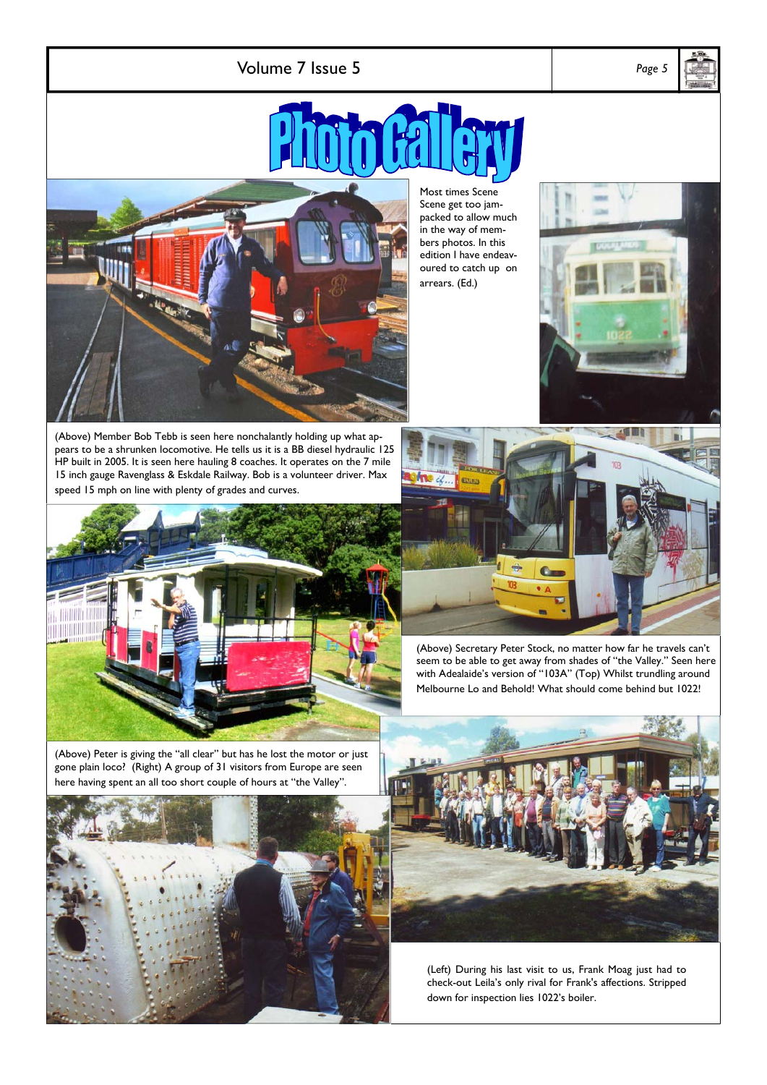Volume 7 Issue 5 *Page 5* 





(Above) Member Bob Tebb is seen here nonchalantly holding up what appears to be a shrunken locomotive. He tells us it is a BB diesel hydraulic 125 HP built in 2005. It is seen here hauling 8 coaches. It operates on the 7 mile 15 inch gauge Ravenglass & Eskdale Railway. Bob is a volunteer driver. Max speed 15 mph on line with plenty of grades and curves.



Most times Scene Scene get too jampacked to allow much in the way of members photos. In this edition I have endeavoured to catch up on arrears. (Ed.)





(Above) Secretary Peter Stock, no matter how far he travels can't seem to be able to get away from shades of "the Valley." Seen here with Adealaide's version of "103A" (Top) Whilst trundling around Melbourne Lo and Behold! What should come behind but 1022!

(Above) Peter is giving the "all clear" but has he lost the motor or just gone plain loco? (Right) A group of 31 visitors from Europe are seen here having spent an all too short couple of hours at "the Valley".





(Left) During his last visit to us, Frank Moag just had to check-out Leila's only rival for Frank's affections. Stripped down for inspection lies 1022's boiler.